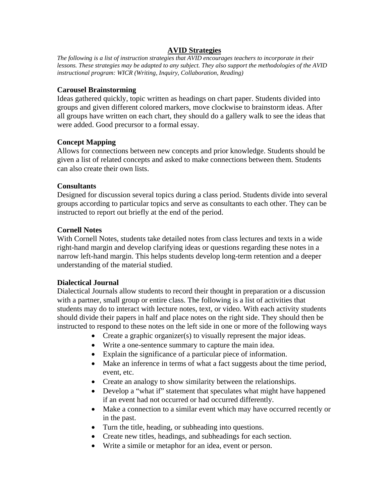### **AVID Strategies**

*The following is a list of instruction strategies that AVID encourages teachers to incorporate in their lessons. These strategies may be adapted to any subject. They also support the methodologies of the AVID instructional program: WICR (Writing, Inquiry, Collaboration, Reading)* 

### **Carousel Brainstorming**

Ideas gathered quickly, topic written as headings on chart paper. Students divided into groups and given different colored markers, move clockwise to brainstorm ideas. After all groups have written on each chart, they should do a gallery walk to see the ideas that were added. Good precursor to a formal essay.

# **Concept Mapping**

Allows for connections between new concepts and prior knowledge. Students should be given a list of related concepts and asked to make connections between them. Students can also create their own lists.

# **Consultants**

Designed for discussion several topics during a class period. Students divide into several groups according to particular topics and serve as consultants to each other. They can be instructed to report out briefly at the end of the period.

# **Cornell Notes**

With Cornell Notes, students take detailed notes from class lectures and texts in a wide right-hand margin and develop clarifying ideas or questions regarding these notes in a narrow left-hand margin. This helps students develop long-term retention and a deeper understanding of the material studied.

# **Dialectical Journal**

Dialectical Journals allow students to record their thought in preparation or a discussion with a partner, small group or entire class. The following is a list of activities that students may do to interact with lecture notes, text, or video. With each activity students should divide their papers in half and place notes on the right side. They should then be instructed to respond to these notes on the left side in one or more of the following ways

- Create a graphic organizer(s) to visually represent the major ideas.
- Write a one-sentence summary to capture the main idea.
- Explain the significance of a particular piece of information.
- Make an inference in terms of what a fact suggests about the time period, event, etc.
- Create an analogy to show similarity between the relationships.
- Develop a "what if" statement that speculates what might have happened if an event had not occurred or had occurred differently.
- Make a connection to a similar event which may have occurred recently or in the past.
- Turn the title, heading, or subheading into questions.
- Create new titles, headings, and subheadings for each section.
- Write a simile or metaphor for an idea, event or person.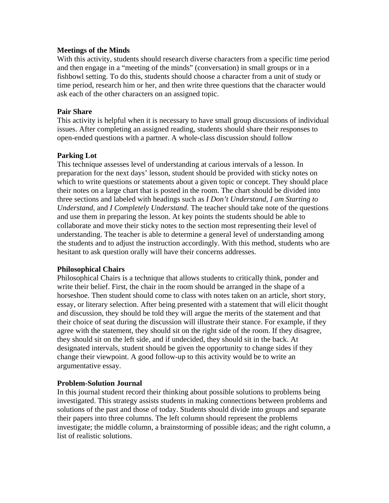### **Meetings of the Minds**

With this activity, students should research diverse characters from a specific time period and then engage in a "meeting of the minds" (conversation) in small groups or in a fishbowl setting. To do this, students should choose a character from a unit of study or time period, research him or her, and then write three questions that the character would ask each of the other characters on an assigned topic.

#### **Pair Share**

This activity is helpful when it is necessary to have small group discussions of individual issues. After completing an assigned reading, students should share their responses to open-ended questions with a partner. A whole-class discussion should follow

### **Parking Lot**

This technique assesses level of understanding at carious intervals of a lesson. In preparation for the next days' lesson, student should be provided with sticky notes on which to write questions or statements about a given topic or concept. They should place their notes on a large chart that is posted in the room. The chart should be divided into three sections and labeled with headings such as *I Don't Understand, I am Starting to Understand,* and *I Completely Understand*. The teacher should take note of the questions and use them in preparing the lesson. At key points the students should be able to collaborate and move their sticky notes to the section most representing their level of understanding. The teacher is able to determine a general level of understanding among the students and to adjust the instruction accordingly. With this method, students who are hesitant to ask question orally will have their concerns addresses.

### **Philosophical Chairs**

Philosophical Chairs is a technique that allows students to critically think, ponder and write their belief. First, the chair in the room should be arranged in the shape of a horseshoe. Then student should come to class with notes taken on an article, short story, essay, or literary selection. After being presented with a statement that will elicit thought and discussion, they should be told they will argue the merits of the statement and that their choice of seat during the discussion will illustrate their stance. For example, if they agree with the statement, they should sit on the right side of the room. If they disagree, they should sit on the left side, and if undecided, they should sit in the back. At designated intervals, student should be given the opportunity to change sides if they change their viewpoint. A good follow-up to this activity would be to write an argumentative essay.

#### **Problem-Solution Journal**

In this journal student record their thinking about possible solutions to problems being investigated. This strategy assists students in making connections between problems and solutions of the past and those of today. Students should divide into groups and separate their papers into three columns. The left column should represent the problems investigate; the middle column, a brainstorming of possible ideas; and the right column, a list of realistic solutions.